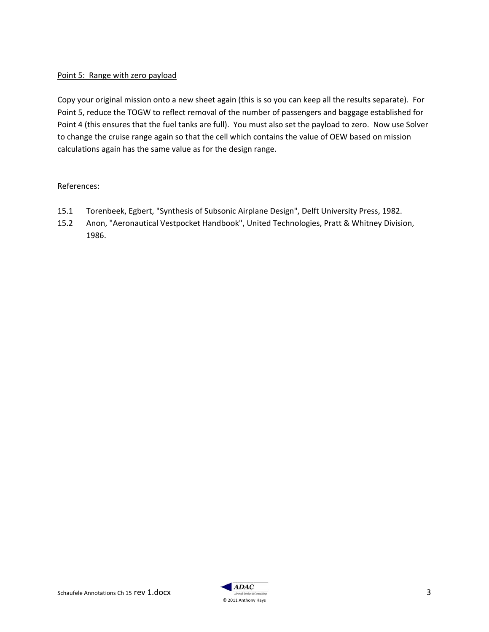#### Point 5: Range with zero payload

Copy your original mission onto a new sheet again (this is so you can keep all the results separate). For Point 5, reduce the TOGW to reflect removal of the number of passengers and baggage established for Point 4 (this ensures that the fuel tanks are full). You must also set the payload to zero. Now use Solver to change the cruise range again so that the cell which contains the value of OEW based on mission calculations again has the same value as for the design range.

#### References:

- 15.1 Torenbeek, Egbert, "Synthesis of Subsonic Airplane Design", Delft University Press, 1982.
- 15.2 Anon, "Aeronautical Vestpocket Handbook", United Technologies, Pratt & Whitney Division, 1986.

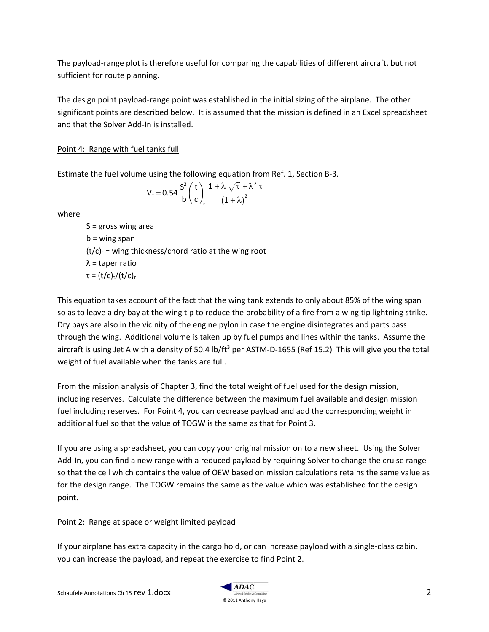The payload-range plot is therefore useful for comparing the capabilities of different aircraft, but not sufficient for route planning.

The design point payload-range point was established in the initial sizing of the airplane. The other significant points are described below. It is assumed that the mission is defined in an Excel spreadsheet and that the Solver Add-In is installed.

## Point 4: Range with fuel tanks full

Estimate the fuel volume using the following equation from Ref. 1, Section B-3.<br> $\frac{1}{2}$   $\int_{0}^{2} f(t) \cdot 1 + \lambda \sqrt{\tau} + \lambda^2 \tau$ 

$$
V_t\!=\!0.54\,\frac{S^2}{b}\!\left(\frac{t}{c}\right)\!\frac{1+\lambda\,\sqrt{\tau}+\lambda^2\,\tau}{\left(1+\lambda\right)^2}
$$

where

 $S =$  gross wing area  $b =$  wing span  $(t/c)$ <sub>r</sub> = wing thickness/chord ratio at the wing root  $λ =$  taper ratio τ =  $(t/c)<sub>t</sub>/(t/c)<sub>r</sub>$ 

This equation takes account of the fact that the wing tank extends to only about 85% of the wing span so as to leave a dry bay at the wing tip to reduce the probability of a fire from a wing tip lightning strike. Dry bays are also in the vicinity of the engine pylon in case the engine disintegrates and parts pass through the wing. Additional volume is taken up by fuel pumps and lines within the tanks. Assume the aircraft is using Jet A with a density of 50.4 lb/ft<sup>3</sup> per ASTM-D-1655 (Ref 15.2) This will give you the total weight of fuel available when the tanks are full.

From the mission analysis of Chapter 3, find the total weight of fuel used for the design mission, including reserves. Calculate the difference between the maximum fuel available and design mission fuel including reserves. For Point 4, you can decrease payload and add the corresponding weight in additional fuel so that the value of TOGW is the same as that for Point 3.

If you are using a spreadsheet, you can copy your original mission on to a new sheet. Using the Solver Add-In, you can find a new range with a reduced payload by requiring Solver to change the cruise range so that the cell which contains the value of OEW based on mission calculations retains the same value as for the design range. The TOGW remains the same as the value which was established for the design point.

### Point 2: Range at space or weight limited payload

If your airplane has extra capacity in the cargo hold, or can increase payload with a single-class cabin, you can increase the payload, and repeat the exercise to find Point 2.